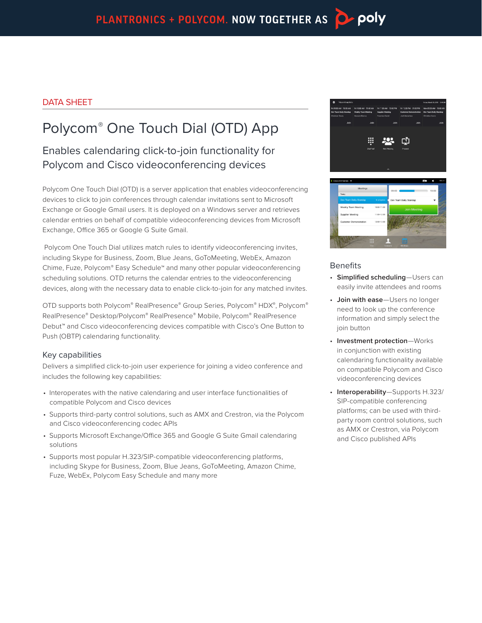# DATA SHEET

# Polycom® One Touch Dial (OTD) App

Enables calendaring click-to-join functionality for Polycom and Cisco videoconferencing devices

Polycom One Touch Dial (OTD) is a server application that enables videoconferencing devices to click to join conferences through calendar invitations sent to Microsoft Exchange or Google Gmail users. It is deployed on a Windows server and retrieves calendar entries on behalf of compatible videoconferencing devices from Microsoft Exchange, Office 365 or Google G Suite Gmail.

 Polycom One Touch Dial utilizes match rules to identify videoconferencing invites, including Skype for Business, Zoom, Blue Jeans, GoToMeeting, WebEx, Amazon Chime, Fuze, Polycom® Easy Schedule™ and many other popular videoconferencing scheduling solutions. OTD returns the calendar entries to the videoconferencing devices, along with the necessary data to enable click-to-join for any matched invites.

OTD supports both Polycom® RealPresence® Group Series, Polycom® HDX®, Polycom® RealPresence® Desktop/Polycom® RealPresence® Mobile, Polycom® RealPresence Debut™ and Cisco videoconferencing devices compatible with Cisco's One Button to Push (OBTP) calendaring functionality.

# Key capabilities

Delivers a simplified click-to-join user experience for joining a video conference and includes the following key capabilities:

- Interoperates with the native calendaring and user interface functionalities of compatible Polycom and Cisco devices
- Supports third-party control solutions, such as AMX and Crestron, via the Polycom and Cisco videoconferencing codec APIs
- Supports Microsoft Exchange/Office 365 and Google G Suite Gmail calendaring solutions
- Supports most popular H.323/SIP-compatible videoconferencing platforms, including Skype for Business, Zoom, Blue Jeans, GoToMeeting, Amazon Chime, Fuze, WebEx, Polycom Easy Schedule and many more



### **Benefits**

- **Simplified scheduling**—Users can easily invite attendees and rooms
- **Join with ease**—Users no longer need to look up the conference information and simply select the join button
- **Investment protection**—Works in conjunction with existing calendaring functionality available on compatible Polycom and Cisco videoconferencing devices
- **Interoperability**—Supports H.323/ SIP-compatible conferencing platforms; can be used with thirdparty room control solutions, such as AMX or Crestron, via Polycom and Cisco published APIs